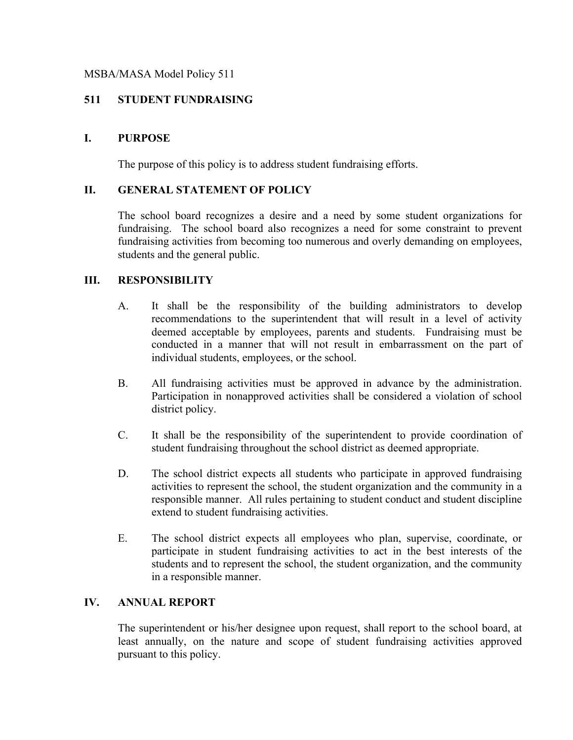## MSBA/MASA Model Policy 511

# **511 STUDENT FUNDRAISING**

# **I. PURPOSE**

The purpose of this policy is to address student fundraising efforts.

# **II. GENERAL STATEMENT OF POLICY**

The school board recognizes a desire and a need by some student organizations for fundraising. The school board also recognizes a need for some constraint to prevent fundraising activities from becoming too numerous and overly demanding on employees, students and the general public.

## **III. RESPONSIBILITY**

- A. It shall be the responsibility of the building administrators to develop recommendations to the superintendent that will result in a level of activity deemed acceptable by employees, parents and students. Fundraising must be conducted in a manner that will not result in embarrassment on the part of individual students, employees, or the school.
- B. All fundraising activities must be approved in advance by the administration. Participation in nonapproved activities shall be considered a violation of school district policy.
- C. It shall be the responsibility of the superintendent to provide coordination of student fundraising throughout the school district as deemed appropriate.
- D. The school district expects all students who participate in approved fundraising activities to represent the school, the student organization and the community in a responsible manner. All rules pertaining to student conduct and student discipline extend to student fundraising activities.
- E. The school district expects all employees who plan, supervise, coordinate, or participate in student fundraising activities to act in the best interests of the students and to represent the school, the student organization, and the community in a responsible manner.

#### **IV. ANNUAL REPORT**

The superintendent or his/her designee upon request, shall report to the school board, at least annually, on the nature and scope of student fundraising activities approved pursuant to this policy.